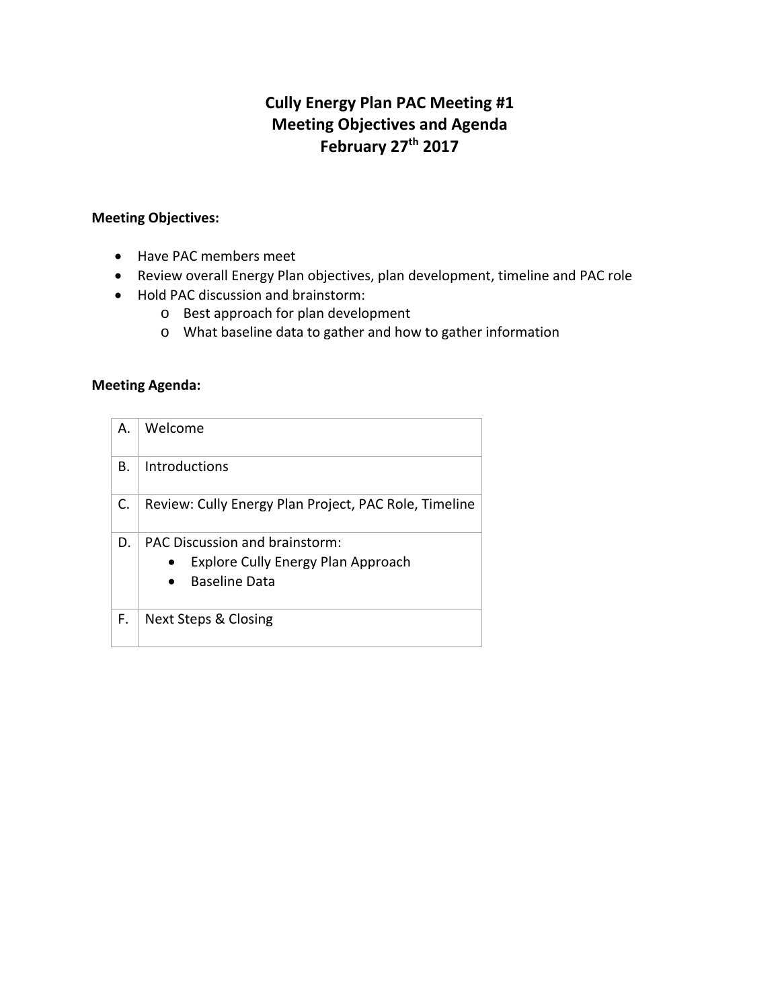## **Cully Energy Plan PAC Meeting #1 Meeting Objectives and Agenda February 27th 2017**

## **Meeting Objectives:**

- Have PAC members meet
- Review overall Energy Plan objectives, plan development, timeline and PAC role
- Hold PAC discussion and brainstorm:
	- o Best approach for plan development
	- o What baseline data to gather and how to gather information

## **Meeting Agenda:**

| Α. | Welcome                                                                                                    |  |  |
|----|------------------------------------------------------------------------------------------------------------|--|--|
| В. | Introductions                                                                                              |  |  |
| C. | Review: Cully Energy Plan Project, PAC Role, Timeline                                                      |  |  |
| D. | <b>PAC Discussion and brainstorm:</b><br><b>Explore Cully Energy Plan Approach</b><br><b>Baseline Data</b> |  |  |
| F. | <b>Next Steps &amp; Closing</b>                                                                            |  |  |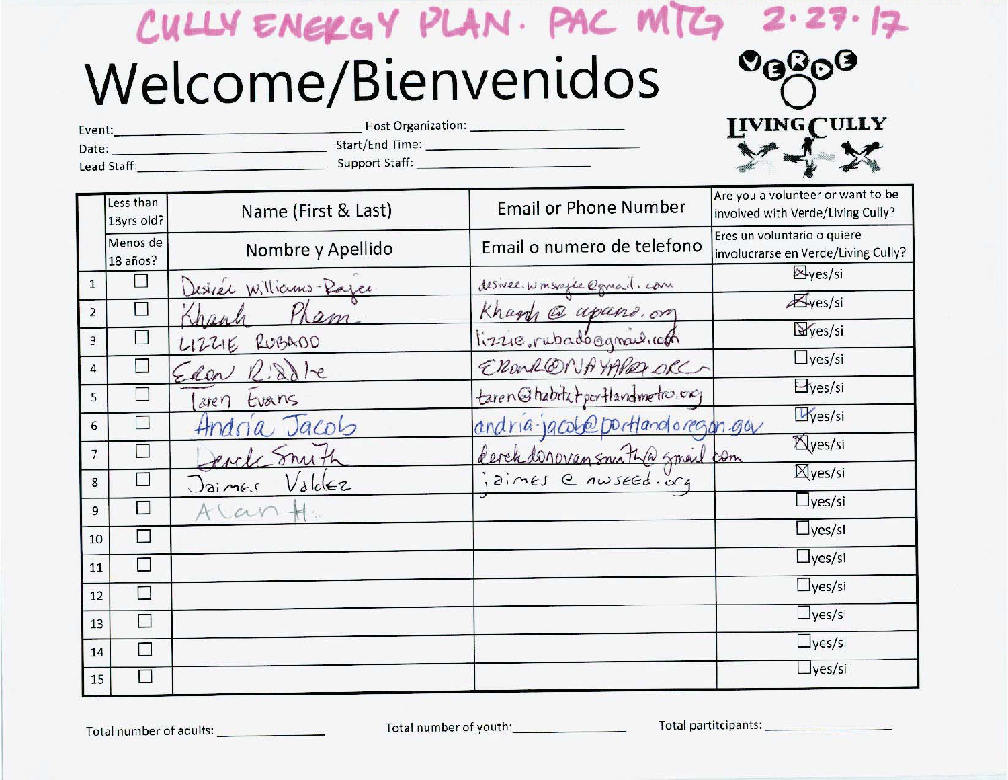# CULLY ENGKGY PLAN. PAC MTG  $2.27.17$ Welcome/Bienvenidos

| Host Organization:<br>Event: |                       | <b>IIVING CULLY</b> |
|------------------------------|-----------------------|---------------------|
| Date:                        | Start/End Time:       |                     |
| Lead Staff:                  | <b>Support Staff:</b> |                     |

|                | Less than<br>18yrs old?  | Name (First & Last)    | <b>Email or Phone Number</b>     | Are you a volunteer or want to be<br>involved with Verde/Living Cully? |
|----------------|--------------------------|------------------------|----------------------------------|------------------------------------------------------------------------|
|                | Menos de<br>18 años?     | Nombre y Apellido      | Email o numero de telefono       | Eres un voluntario o quiere<br>involucrarse en Verde/Living Cully?     |
| $\mathbf{1}$   |                          | Desirer Williams-Rayer | desiree winsvagle @gmail.com     | $\Delta$ yes/si                                                        |
| $\overline{2}$ | $\overline{\phantom{a}}$ | Pham                   |                                  | $\mathbb{Z}_{\text{yes/si}}$                                           |
| 3              |                          | RUBA00<br>112216       | Khanh a apano.on                 | Ves/si                                                                 |
| $\overline{4}$ |                          | Edon Riddle            | ERONALONAYAREZORC                | $\Box$ yes/si                                                          |
| 5              |                          | Evans<br>aren          | taren@habitatportlandmetro.org   | E <sub>yes/si</sub>                                                    |
| 6              |                          | Andria Jacob           | andria jacobo portlandoregan gov | Ves/si                                                                 |
| $\overline{7}$ | $\Box$                   | Porch Smith            |                                  | <b>Xyes/si</b>                                                         |
| 8              |                          | Valc<br>$J$ aimes      | derchdonovansmithasmeil com      | $\boxtimes$ yes/si                                                     |
| 9              | $\Box$                   | can+                   |                                  | $\Box$ yes/si                                                          |
| 10             | T.                       |                        |                                  | $\frac{1}{2}$ yes/si                                                   |
| 11             | П                        |                        |                                  | $\Box$ yes/si                                                          |
| 12             | П                        |                        |                                  | $\Box$ yes/si                                                          |
| 13             | П                        |                        |                                  | $\Box$ yes/si                                                          |
| 14             | $\Box$                   |                        |                                  | $\Box$ yes/si                                                          |
| 15             | H                        |                        |                                  | $\frac{1}{\sqrt{2}}$ yes/si                                            |

Total number of adults: \_\_\_\_\_\_\_\_\_\_\_\_\_\_\_\_

Total number of youth: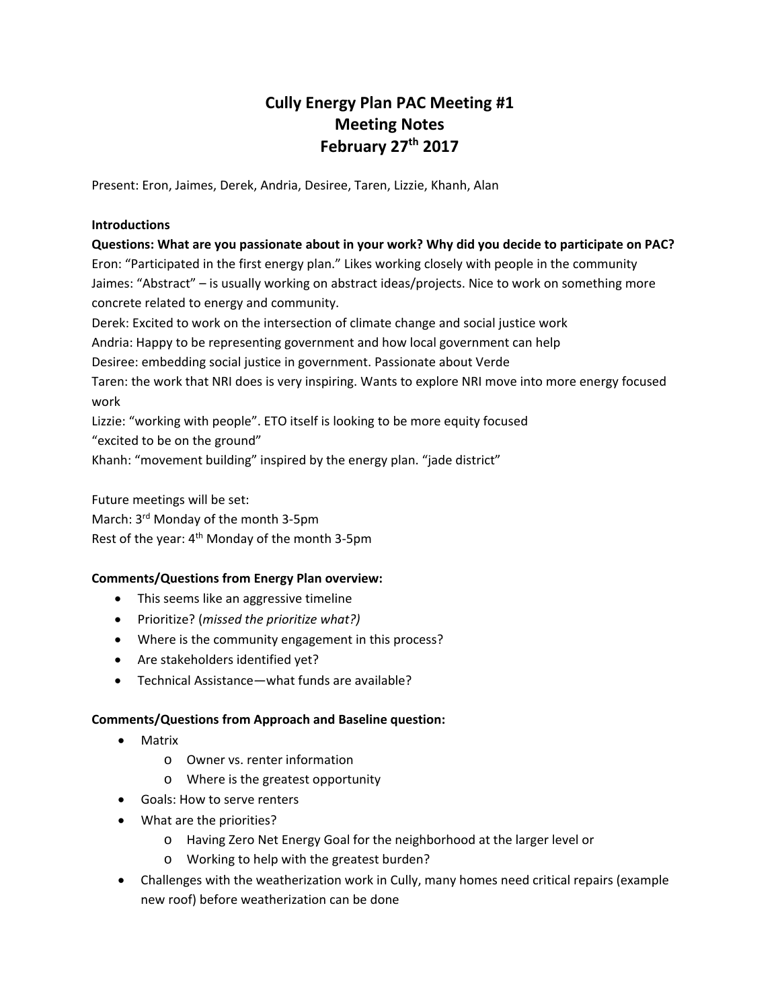## **Cully Energy Plan PAC Meeting #1 Meeting Notes February 27th 2017**

Present: Eron, Jaimes, Derek, Andria, Desiree, Taren, Lizzie, Khanh, Alan

## **Introductions**

**Questions: What are you passionate about in your work? Why did you decide to participate on PAC?** Eron: "Participated in the first energy plan." Likes working closely with people in the community Jaimes: "Abstract" – is usually working on abstract ideas/projects. Nice to work on something more concrete related to energy and community. Derek: Excited to work on the intersection of climate change and social justice work

Andria: Happy to be representing government and how local government can help

Desiree: embedding social justice in government. Passionate about Verde

Taren: the work that NRI does is very inspiring. Wants to explore NRI move into more energy focused work

Lizzie: "working with people". ETO itself is looking to be more equity focused

"excited to be on the ground"

Khanh: "movement building" inspired by the energy plan. "jade district"

Future meetings will be set: March: 3<sup>rd</sup> Monday of the month 3-5pm

Rest of the year: 4<sup>th</sup> Monday of the month 3-5pm

## **Comments/Questions from Energy Plan overview:**

- This seems like an aggressive timeline
- Prioritize? (*missed the prioritize what?)*
- Where is the community engagement in this process?
- Are stakeholders identified yet?
- Technical Assistance—what funds are available?

## **Comments/Questions from Approach and Baseline question:**

- Matrix
	- o Owner vs. renter information
	- o Where is the greatest opportunity
- Goals: How to serve renters
- What are the priorities?
	- o Having Zero Net Energy Goal for the neighborhood at the larger level or
	- o Working to help with the greatest burden?
- Challenges with the weatherization work in Cully, many homes need critical repairs (example new roof) before weatherization can be done